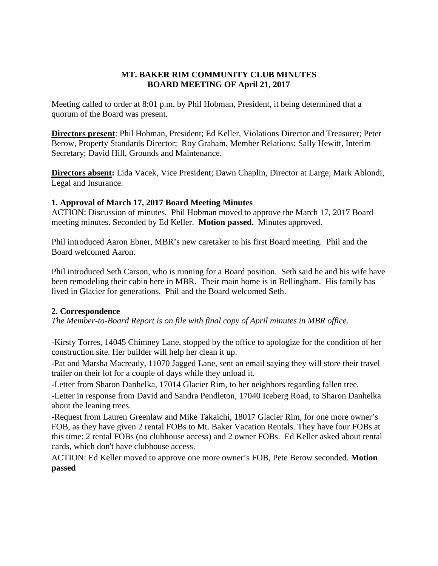# **MT. BAKER RIM COMMUNITY CLUB MINUTES BOARD MEETING OF April 21, 2017**

Meeting called to order at 8:01 p.m. by Phil Hobman, President, it being determined that a quorum of the Board was present.

**Directors present**: Phil Hobman, President; Ed Keller, Violations Director and Treasurer; Peter Berow, Property Standards Director; Roy Graham, Member Relations; Sally Hewitt, Interim Secretary; David Hill, Grounds and Maintenance.

**Directors absent:** Lida Vacek, Vice President; Dawn Chaplin, Director at Large; Mark Ablondi, Legal and Insurance.

## **1. Approval of March 17, 2017 Board Meeting Minutes**

ACTION: Discussion of minutes. Phil Hobman moved to approve the March 17, 2017 Board meeting minutes. Seconded by Ed Keller. **Motion passed.** Minutes approved.

Phil introduced Aaron Ebner, MBR's new caretaker to his first Board meeting. Phil and the Board welcomed Aaron.

Phil introduced Seth Carson, who is running for a Board position. Seth said he and his wife have been remodeling their cabin here in MBR. Their main home is in Bellingham. His family has lived in Glacier for generations. Phil and the Board welcomed Seth.

# **2. Correspondence**

*The Member-to-Board Report is on file with final copy of April minutes in MBR office.*

*-*Kirsty Torres, 14045 Chimney Lane, stopped by the office to apologize for the condition of her construction site. Her builder will help her clean it up.

-Pat and Marsha Macready, 11070 Jagged Lane, sent an email saying they will store their travel trailer on their lot for a couple of days while they unload it.

-Letter from Sharon Danhelka, 17014 Glacier Rim, to her neighbors regarding fallen tree.

-Letter in response from David and Sandra Pendleton, 17040 Iceberg Road, to Sharon Danhelka about the leaning trees.

-Request from Lauren Greenlaw and Mike Takaichi, 18017 Glacier Rim, for one more owner's FOB, as they have given 2 rental FOBs to Mt. Baker Vacation Rentals. They have four FOBs at this time: 2 rental FOBs (no clubhouse access) and 2 owner FOBs. Ed Keller asked about rental cards, which don't have clubhouse access.

ACTION: Ed Keller moved to approve one more owner's FOB, Pete Berow seconded. **Motion passed**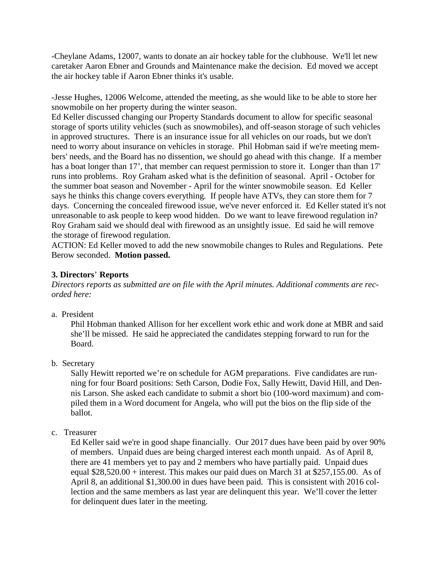-Cheylane Adams, 12007, wants to donate an air hockey table for the clubhouse. We'll let new caretaker Aaron Ebner and Grounds and Maintenance make the decision. Ed moved we accept the air hockey table if Aaron Ebner thinks it's usable.

-Jesse Hughes, 12006 Welcome, attended the meeting, as she would like to be able to store her snowmobile on her property during the winter season.

Ed Keller discussed changing our Property Standards document to allow for specific seasonal storage of sports utility vehicles (such as snowmobiles), and off-season storage of such vehicles in approved structures. There is an insurance issue for all vehicles on our roads, but we don't need to worry about insurance on vehicles in storage. Phil Hobman said if we're meeting members' needs, and the Board has no dissention, we should go ahead with this change. If a member has a boat longer than 17', that member can request permission to store it. Longer than than 17' runs into problems. Roy Graham asked what is the definition of seasonal. April - October for the summer boat season and November - April for the winter snowmobile season. Ed Keller says he thinks this change covers everything. If people have ATVs, they can store them for 7 days. Concerning the concealed firewood issue, we've never enforced it. Ed Keller stated it's not unreasonable to ask people to keep wood hidden. Do we want to leave firewood regulation in? Roy Graham said we should deal with firewood as an unsightly issue. Ed said he will remove the storage of firewood regulation.

ACTION: Ed Keller moved to add the new snowmobile changes to Rules and Regulations. Pete Berow seconded. **Motion passed.**

# **3. Directors**' **Reports**

*Directors reports as submitted are on file with the April minutes. Additional comments are recorded here:*

a. President

Phil Hobman thanked Allison for her excellent work ethic and work done at MBR and said she'll be missed. He said he appreciated the candidates stepping forward to run for the Board.

b. Secretary

Sally Hewitt reported we're on schedule for AGM preparations. Five candidates are running for four Board positions: Seth Carson, Dodie Fox, Sally Hewitt, David Hill, and Dennis Larson. She asked each candidate to submit a short bio (100-word maximum) and compiled them in a Word document for Angela, who will put the bios on the flip side of the ballot.

c. Treasurer

Ed Keller said we're in good shape financially. Our 2017 dues have been paid by over 90% of members. Unpaid dues are being charged interest each month unpaid. As of April 8, there are 41 members yet to pay and 2 members who have partially paid. Unpaid dues equal \$28,520.00 + interest. This makes our paid dues on March 31 at \$257,155.00. As of April 8, an additional \$1,300.00 in dues have been paid. This is consistent with 2016 collection and the same members as last year are delinquent this year. We'll cover the letter for delinquent dues later in the meeting.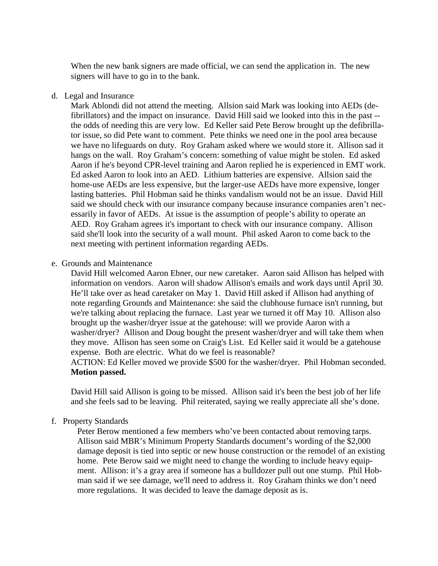When the new bank signers are made official, we can send the application in. The new signers will have to go in to the bank.

#### d. Legal and Insurance

Mark Ablondi did not attend the meeting. Allsion said Mark was looking into AEDs (defibrillators) and the impact on insurance. David Hill said we looked into this in the past - the odds of needing this are very low. Ed Keller said Pete Berow brought up the defibrillator issue, so did Pete want to comment. Pete thinks we need one in the pool area because we have no lifeguards on duty. Roy Graham asked where we would store it. Allison sad it hangs on the wall. Roy Graham's concern: something of value might be stolen. Ed asked Aaron if he's beyond CPR-level training and Aaron replied he is experienced in EMT work. Ed asked Aaron to look into an AED. Lithium batteries are expensive. Allsion said the home-use AEDs are less expensive, but the larger-use AEDs have more expensive, longer lasting batteries. Phil Hobman said he thinks vandalism would not be an issue. David Hill said we should check with our insurance company because insurance companies aren't necessarily in favor of AEDs. At issue is the assumption of people's ability to operate an AED. Roy Graham agrees it's important to check with our insurance company. Allison said she'll look into the security of a wall mount. Phil asked Aaron to come back to the next meeting with pertinent information regarding AEDs.

#### e. Grounds and Maintenance

David Hill welcomed Aaron Ebner, our new caretaker. Aaron said Allison has helped with information on vendors. Aaron will shadow Allison's emails and work days until April 30. He'll take over as head caretaker on May 1. David Hill asked if Allison had anything of note regarding Grounds and Maintenance: she said the clubhouse furnace isn't running, but we're talking about replacing the furnace. Last year we turned it off May 10. Allison also brought up the washer/dryer issue at the gatehouse: will we provide Aaron with a washer/dryer? Allison and Doug bought the present washer/dryer and will take them when they move. Allison has seen some on Craig's List. Ed Keller said it would be a gatehouse expense. Both are electric. What do we feel is reasonable?

ACTION: Ed Keller moved we provide \$500 for the washer/dryer. Phil Hobman seconded. **Motion passed.**

David Hill said Allison is going to be missed. Allison said it's been the best job of her life and she feels sad to be leaving. Phil reiterated, saying we really appreciate all she's done.

#### f. Property Standards

Peter Berow mentioned a few members who've been contacted about removing tarps. Allison said MBR's Minimum Property Standards document's wording of the \$2,000 damage deposit is tied into septic or new house construction or the remodel of an existing home. Pete Berow said we might need to change the wording to include heavy equipment. Allison: it's a gray area if someone has a bulldozer pull out one stump. Phil Hobman said if we see damage, we'll need to address it. Roy Graham thinks we don't need more regulations. It was decided to leave the damage deposit as is.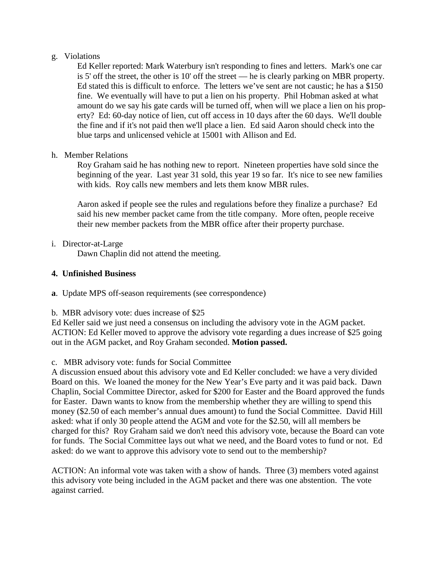## g. Violations

Ed Keller reported: Mark Waterbury isn't responding to fines and letters. Mark's one car is 5' off the street, the other is 10' off the street — he is clearly parking on MBR property. Ed stated this is difficult to enforce. The letters we've sent are not caustic; he has a \$150 fine. We eventually will have to put a lien on his property. Phil Hobman asked at what amount do we say his gate cards will be turned off, when will we place a lien on his property? Ed: 60-day notice of lien, cut off access in 10 days after the 60 days. We'll double the fine and if it's not paid then we'll place a lien. Ed said Aaron should check into the blue tarps and unlicensed vehicle at 15001 with Allison and Ed.

## h. Member Relations

Roy Graham said he has nothing new to report. Nineteen properties have sold since the beginning of the year. Last year 31 sold, this year 19 so far. It's nice to see new families with kids. Roy calls new members and lets them know MBR rules.

Aaron asked if people see the rules and regulations before they finalize a purchase? Ed said his new member packet came from the title company. More often, people receive their new member packets from the MBR office after their property purchase.

i. Director-at-Large

Dawn Chaplin did not attend the meeting.

# **4. Unfinished Business**

**a**. Update MPS off-season requirements (see correspondence)

b. MBR advisory vote: dues increase of \$25

Ed Keller said we just need a consensus on including the advisory vote in the AGM packet. ACTION: Ed Keller moved to approve the advisory vote regarding a dues increase of \$25 going out in the AGM packet, and Roy Graham seconded. **Motion passed.**

# c. MBR advisory vote: funds for Social Committee

A discussion ensued about this advisory vote and Ed Keller concluded: we have a very divided Board on this. We loaned the money for the New Year's Eve party and it was paid back. Dawn Chaplin, Social Committee Director, asked for \$200 for Easter and the Board approved the funds for Easter. Dawn wants to know from the membership whether they are willing to spend this money (\$2.50 of each member's annual dues amount) to fund the Social Committee. David Hill asked: what if only 30 people attend the AGM and vote for the \$2.50, will all members be charged for this? Roy Graham said we don't need this advisory vote, because the Board can vote for funds. The Social Committee lays out what we need, and the Board votes to fund or not. Ed asked: do we want to approve this advisory vote to send out to the membership?

ACTION: An informal vote was taken with a show of hands. Three (3) members voted against this advisory vote being included in the AGM packet and there was one abstention. The vote against carried.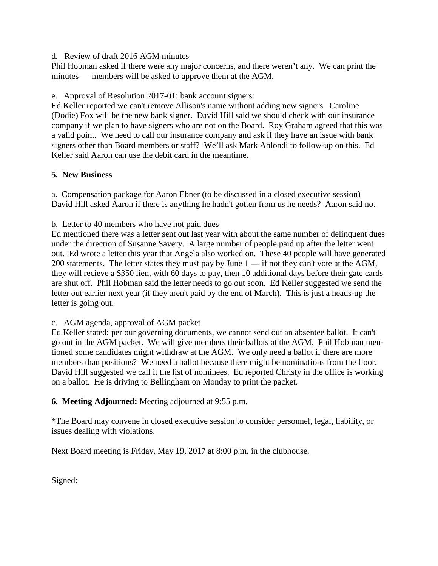## d. Review of draft 2016 AGM minutes

Phil Hobman asked if there were any major concerns, and there weren't any. We can print the minutes — members will be asked to approve them at the AGM.

## e. Approval of Resolution 2017-01: bank account signers:

Ed Keller reported we can't remove Allison's name without adding new signers. Caroline (Dodie) Fox will be the new bank signer. David Hill said we should check with our insurance company if we plan to have signers who are not on the Board. Roy Graham agreed that this was a valid point. We need to call our insurance company and ask if they have an issue with bank signers other than Board members or staff? We'll ask Mark Ablondi to follow-up on this. Ed Keller said Aaron can use the debit card in the meantime.

# **5. New Business**

a. Compensation package for Aaron Ebner (to be discussed in a closed executive session) David Hill asked Aaron if there is anything he hadn't gotten from us he needs? Aaron said no.

b. Letter to 40 members who have not paid dues

Ed mentioned there was a letter sent out last year with about the same number of delinquent dues under the direction of Susanne Savery. A large number of people paid up after the letter went out. Ed wrote a letter this year that Angela also worked on. These 40 people will have generated 200 statements. The letter states they must pay by June 1 — if not they can't vote at the AGM, they will recieve a \$350 lien, with 60 days to pay, then 10 additional days before their gate cards are shut off. Phil Hobman said the letter needs to go out soon. Ed Keller suggested we send the letter out earlier next year (if they aren't paid by the end of March). This is just a heads-up the letter is going out.

# c. AGM agenda, approval of AGM packet

Ed Keller stated: per our governing documents, we cannot send out an absentee ballot. It can't go out in the AGM packet. We will give members their ballots at the AGM. Phil Hobman mentioned some candidates might withdraw at the AGM. We only need a ballot if there are more members than positions? We need a ballot because there might be nominations from the floor. David Hill suggested we call it the list of nominees. Ed reported Christy in the office is working on a ballot. He is driving to Bellingham on Monday to print the packet.

# **6. Meeting Adjourned:** Meeting adjourned at 9:55 p.m.

\*The Board may convene in closed executive session to consider personnel, legal, liability, or issues dealing with violations.

Next Board meeting is Friday, May 19, 2017 at 8:00 p.m. in the clubhouse.

Signed: